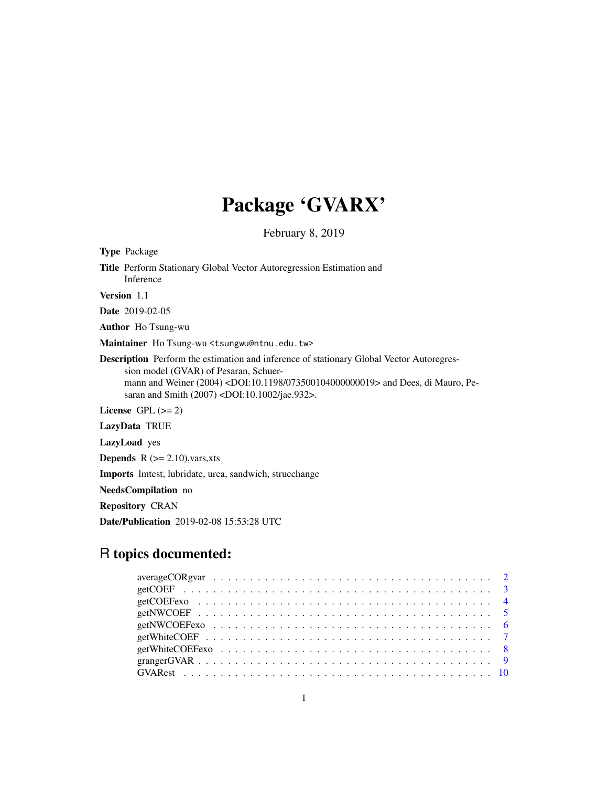# Package 'GVARX'

February 8, 2019

Type Package Title Perform Stationary Global Vector Autoregression Estimation and Inference Version 1.1 Date 2019-02-05 Author Ho Tsung-wu Maintainer Ho Tsung-wu <tsungwu@ntnu.edu.tw> Description Perform the estimation and inference of stationary Global Vector Autoregression model (GVAR) of Pesaran, Schuermann and Weiner (2004) <DOI:10.1198/073500104000000019> and Dees, di Mauro, Pesaran and Smith (2007) <DOI:10.1002/jae.932>. License GPL  $(>= 2)$ LazyData TRUE LazyLoad yes **Depends**  $R$  ( $>= 2.10$ ), vars, xts Imports lmtest, lubridate, urca, sandwich, strucchange NeedsCompilation no

Repository CRAN

Date/Publication 2019-02-08 15:53:28 UTC

# R topics documented: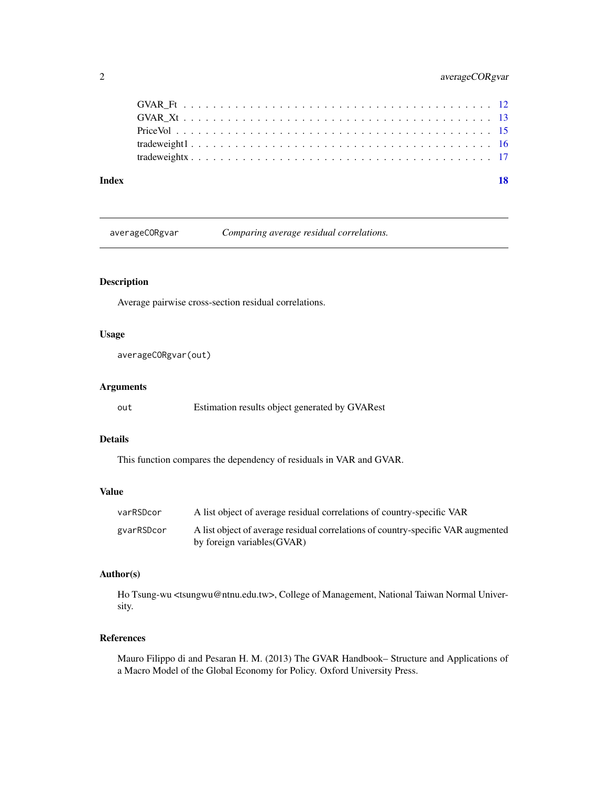# <span id="page-1-0"></span>2 averageCORgvar

| Index |  | 18 |
|-------|--|----|
|       |  |    |
|       |  |    |
|       |  |    |
|       |  |    |
|       |  |    |

averageCORgvar *Comparing average residual correlations.*

# Description

Average pairwise cross-section residual correlations.

#### Usage

```
averageCORgvar(out)
```
# Arguments

| out | Estimation results object generated by GVARest |  |
|-----|------------------------------------------------|--|
|-----|------------------------------------------------|--|

# Details

This function compares the dependency of residuals in VAR and GVAR.

# Value

| varRSDcor  | A list object of average residual correlations of country-specific VAR                                          |
|------------|-----------------------------------------------------------------------------------------------------------------|
| gyarRSDcor | A list object of average residual correlations of country-specific VAR augmented<br>by foreign variables (GVAR) |

# Author(s)

Ho Tsung-wu <tsungwu@ntnu.edu.tw>, College of Management, National Taiwan Normal University.

#### References

Mauro Filippo di and Pesaran H. M. (2013) The GVAR Handbook– Structure and Applications of a Macro Model of the Global Economy for Policy. Oxford University Press.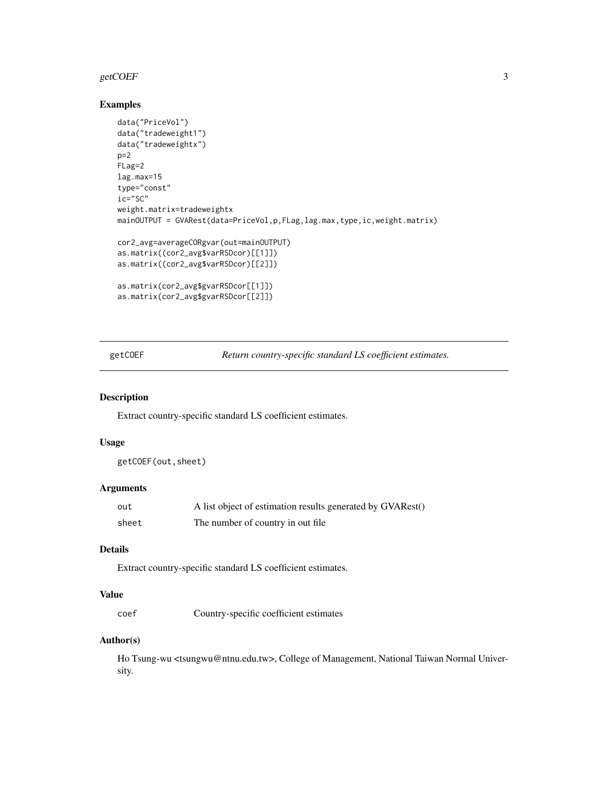#### <span id="page-2-0"></span>getCOEF 3

# Examples

```
data("PriceVol")
data("tradeweight1")
data("tradeweightx")
p=2FLag=2
lag.max=15
type="const"
ic="SC"
weight.matrix=tradeweightx
mainOUTPUT = GVARest(data=PriceVol,p,FLag,lag.max,type,ic,weight.matrix)
cor2_avg=averageCORgvar(out=mainOUTPUT)
as.matrix((cor2_avg$varRSDcor)[[1]])
as.matrix((cor2_avg$varRSDcor)[[2]])
as.matrix(cor2_avg$gvarRSDcor[[1]])
as.matrix(cor2_avg$gvarRSDcor[[2]])
```
getCOEF *Return country-specific standard LS coefficient estimates.*

#### Description

Extract country-specific standard LS coefficient estimates.

# Usage

getCOEF(out,sheet)

#### Arguments

| out   | A list object of estimation results generated by GVARest() |
|-------|------------------------------------------------------------|
| sheet | The number of country in out file.                         |

# Details

Extract country-specific standard LS coefficient estimates.

### Value

coef Country-specific coefficient estimates

#### Author(s)

Ho Tsung-wu <tsungwu@ntnu.edu.tw>, College of Management, National Taiwan Normal University.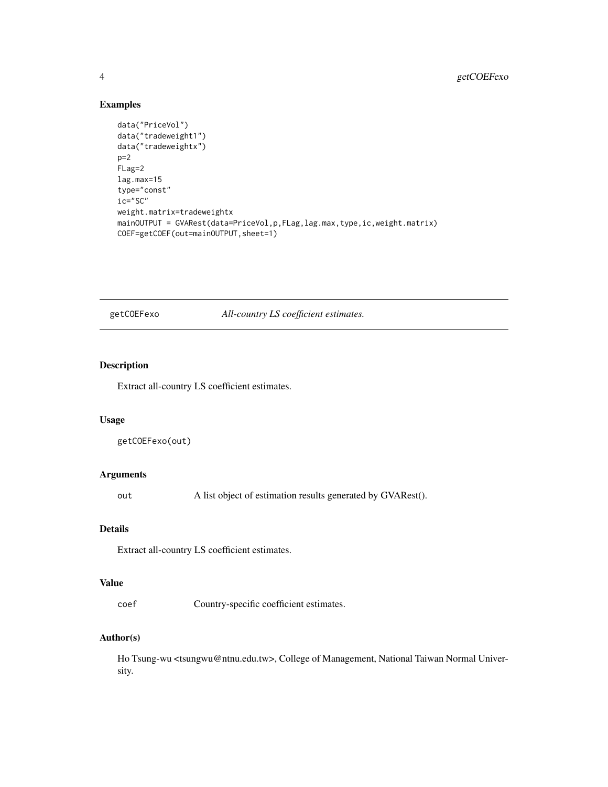# Examples

```
data("PriceVol")
data("tradeweight1")
data("tradeweightx")
p=2FLag=2
lag.max=15
type="const"
ic="SC"
weight.matrix=tradeweightx
mainOUTPUT = GVARest(data=PriceVol,p,FLag,lag.max,type,ic,weight.matrix)
COEF=getCOEF(out=mainOUTPUT,sheet=1)
```
getCOEFexo *All-country LS coefficient estimates.*

# Description

Extract all-country LS coefficient estimates.

# Usage

```
getCOEFexo(out)
```
#### Arguments

out A list object of estimation results generated by GVARest().

#### Details

Extract all-country LS coefficient estimates.

# Value

coef Country-specific coefficient estimates.

#### Author(s)

Ho Tsung-wu <tsungwu@ntnu.edu.tw>, College of Management, National Taiwan Normal University.

<span id="page-3-0"></span>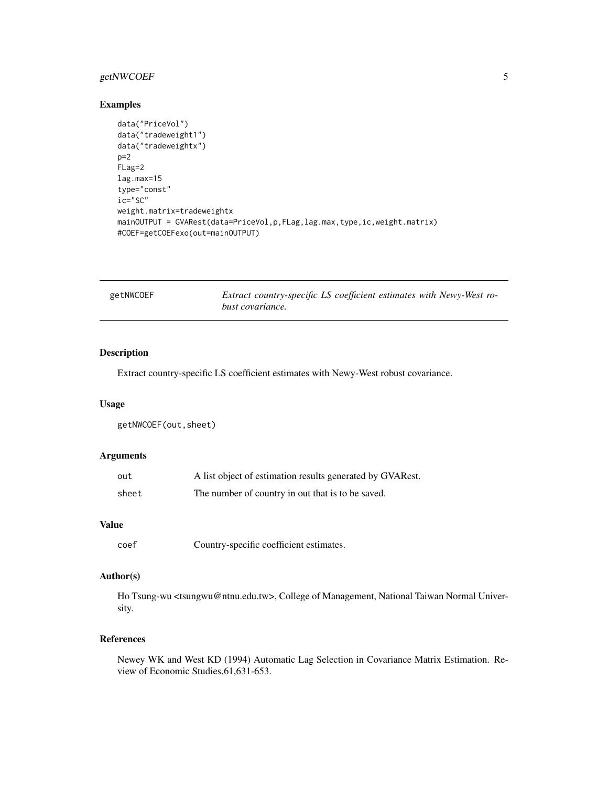# <span id="page-4-0"></span>getNWCOEF 5

#### Examples

```
data("PriceVol")
data("tradeweight1")
data("tradeweightx")
p=2
FLag=2
lag.max=15
type="const"
ic="SC"
weight.matrix=tradeweightx
mainOUTPUT = GVARest(data=PriceVol,p,FLag,lag.max,type,ic,weight.matrix)
#COEF=getCOEFexo(out=mainOUTPUT)
```

| getNWCOEF | Extract country-specific LS coefficient estimates with Newy-West ro- |
|-----------|----------------------------------------------------------------------|
|           | <i>bust covariance.</i>                                              |

# Description

Extract country-specific LS coefficient estimates with Newy-West robust covariance.

#### Usage

getNWCOEF(out,sheet)

#### Arguments

| out   | A list object of estimation results generated by GVARest. |
|-------|-----------------------------------------------------------|
| sheet | The number of country in out that is to be saved.         |

#### Value

coef Country-specific coefficient estimates.

# Author(s)

Ho Tsung-wu <tsungwu@ntnu.edu.tw>, College of Management, National Taiwan Normal University.

# References

Newey WK and West KD (1994) Automatic Lag Selection in Covariance Matrix Estimation. Review of Economic Studies,61,631-653.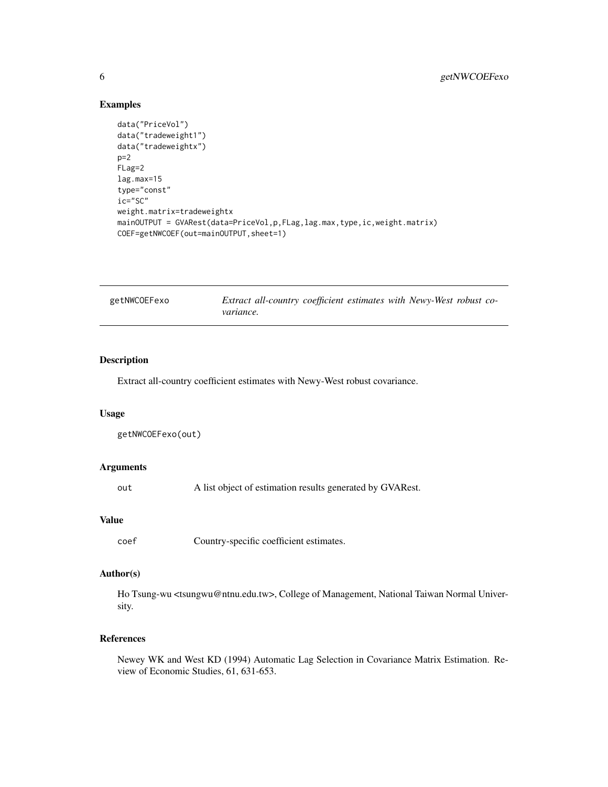#### Examples

```
data("PriceVol")
data("tradeweight1")
data("tradeweightx")
p=2FLag=2
lag.max=15
type="const"
ic="SC"
weight.matrix=tradeweightx
mainOUTPUT = GVARest(data=PriceVol,p,FLag,lag.max,type,ic,weight.matrix)
COEF=getNWCOEF(out=mainOUTPUT,sheet=1)
```

| getNWCOEFexo | Extract all-country coefficient estimates with Newy-West robust co- |  |  |  |
|--------------|---------------------------------------------------------------------|--|--|--|
|              | variance.                                                           |  |  |  |

# Description

Extract all-country coefficient estimates with Newy-West robust covariance.

#### Usage

```
getNWCOEFexo(out)
```
#### Arguments

out A list object of estimation results generated by GVARest.

#### Value

coef Country-specific coefficient estimates.

# Author(s)

Ho Tsung-wu <tsungwu@ntnu.edu.tw>, College of Management, National Taiwan Normal University.

# References

Newey WK and West KD (1994) Automatic Lag Selection in Covariance Matrix Estimation. Review of Economic Studies, 61, 631-653.

<span id="page-5-0"></span>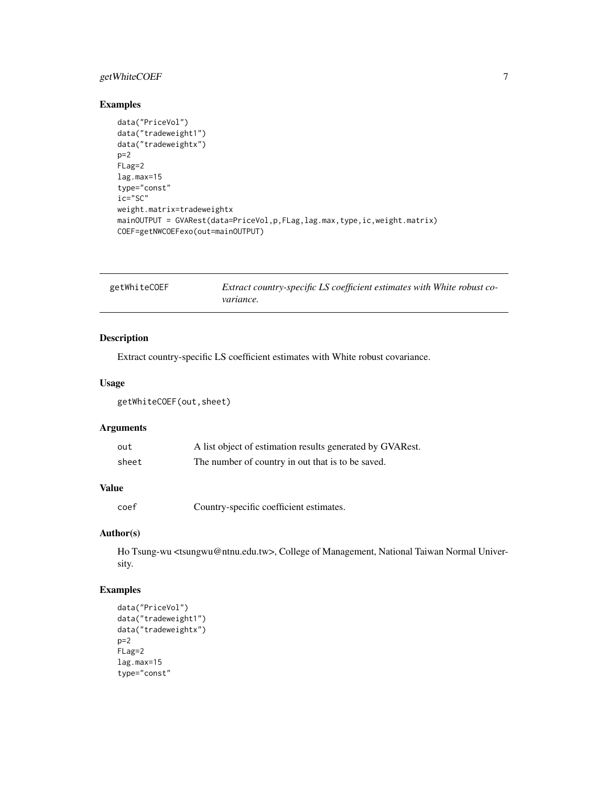# <span id="page-6-0"></span>getWhiteCOEF 7

# Examples

```
data("PriceVol")
data("tradeweight1")
data("tradeweightx")
p=2FLag=2
lag.max=15
type="const"
ic="SC"
weight.matrix=tradeweightx
mainOUTPUT = GVARest(data=PriceVol,p,FLag,lag.max,type,ic,weight.matrix)
COEF=getNWCOEFexo(out=mainOUTPUT)
```

| getWhiteCOEF | Extract country-specific LS coefficient estimates with White robust co- |
|--------------|-------------------------------------------------------------------------|
|              | variance.                                                               |

# Description

Extract country-specific LS coefficient estimates with White robust covariance.

#### Usage

getWhiteCOEF(out,sheet)

# Arguments

| out   | A list object of estimation results generated by GVARest. |
|-------|-----------------------------------------------------------|
| sheet | The number of country in out that is to be saved.         |

#### Value

coef Country-specific coefficient estimates.

# Author(s)

Ho Tsung-wu <tsungwu@ntnu.edu.tw>, College of Management, National Taiwan Normal University.

```
data("PriceVol")
data("tradeweight1")
data("tradeweightx")
p=2FLag=2
lag.max=15
type="const"
```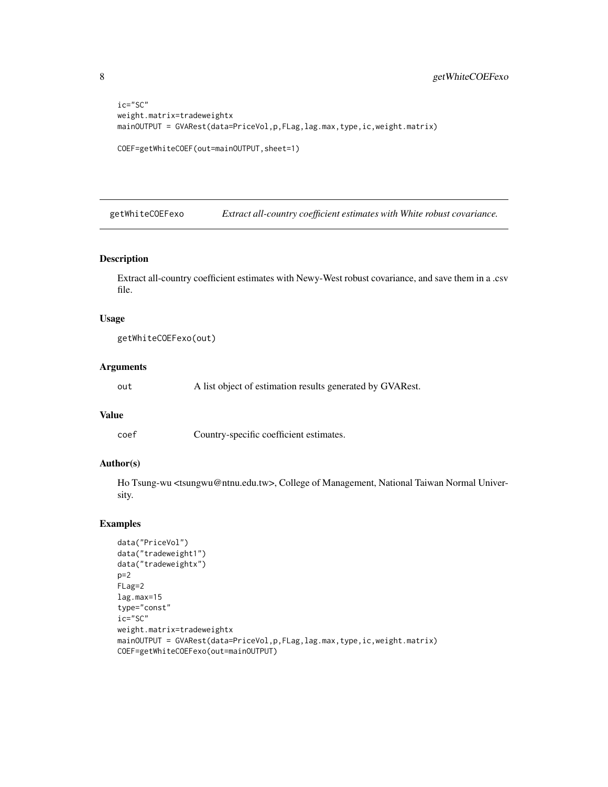```
ic="SC"
weight.matrix=tradeweightx
mainOUTPUT = GVARest(data=PriceVol,p,FLag,lag.max,type,ic,weight.matrix)
COEF=getWhiteCOEF(out=mainOUTPUT,sheet=1)
```
getWhiteCOEFexo *Extract all-country coefficient estimates with White robust covariance.*

#### Description

Extract all-country coefficient estimates with Newy-West robust covariance, and save them in a .csv file.

#### Usage

```
getWhiteCOEFexo(out)
```
#### Arguments

out A list object of estimation results generated by GVARest.

# Value

coef Country-specific coefficient estimates.

#### Author(s)

Ho Tsung-wu <tsungwu@ntnu.edu.tw>, College of Management, National Taiwan Normal University.

```
data("PriceVol")
data("tradeweight1")
data("tradeweightx")
p=2FLag=2
lag.max=15
type="const"
ic="SC"
weight.matrix=tradeweightx
mainOUTPUT = GVARest(data=PriceVol,p,FLag,lag.max,type,ic,weight.matrix)
COEF=getWhiteCOEFexo(out=mainOUTPUT)
```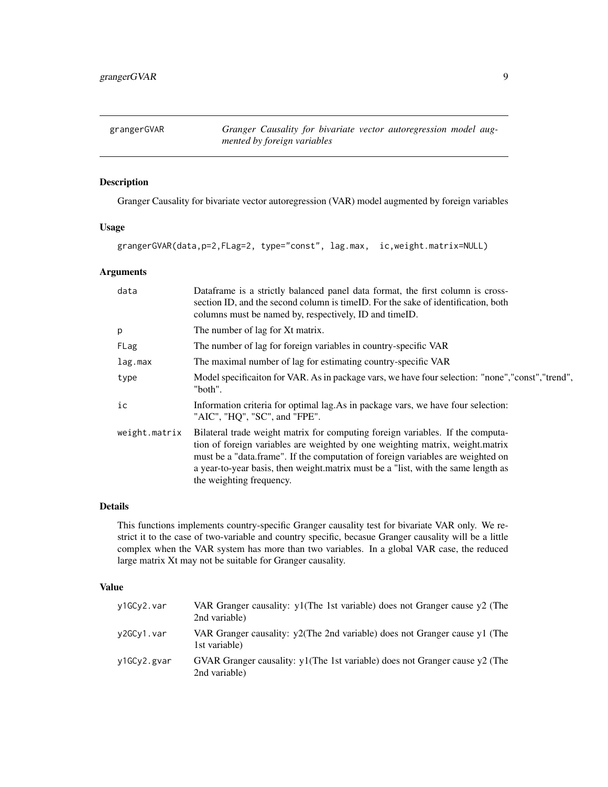<span id="page-8-0"></span>grangerGVAR *Granger Causality for bivariate vector autoregression model augmented by foreign variables*

# Description

Granger Causality for bivariate vector autoregression (VAR) model augmented by foreign variables

#### Usage

grangerGVAR(data,p=2,FLag=2, type="const", lag.max, ic,weight.matrix=NULL)

#### Arguments

| data          | Dataframe is a strictly balanced panel data format, the first column is cross-<br>section ID, and the second column is time ID. For the sake of identification, both<br>columns must be named by, respectively, ID and timeID.                                                                                                                                      |
|---------------|---------------------------------------------------------------------------------------------------------------------------------------------------------------------------------------------------------------------------------------------------------------------------------------------------------------------------------------------------------------------|
| p             | The number of lag for Xt matrix.                                                                                                                                                                                                                                                                                                                                    |
| FLag          | The number of lag for foreign variables in country-specific VAR                                                                                                                                                                                                                                                                                                     |
| lag.max       | The maximal number of lag for estimating country-specific VAR                                                                                                                                                                                                                                                                                                       |
| type          | Model specification for VAR. As in package vars, we have four selection: "none","const","trend",<br>"both".                                                                                                                                                                                                                                                         |
| ic            | Information criteria for optimal lag. As in package vars, we have four selection:<br>"AIC", "HQ", "SC", and "FPE".                                                                                                                                                                                                                                                  |
| weight.matrix | Bilateral trade weight matrix for computing foreign variables. If the computa-<br>tion of foreign variables are weighted by one weighting matrix, weight.matrix<br>must be a "data.frame". If the computation of foreign variables are weighted on<br>a year-to-year basis, then weight matrix must be a "list, with the same length as<br>the weighting frequency. |

#### Details

This functions implements country-specific Granger causality test for bivariate VAR only. We restrict it to the case of two-variable and country specific, becasue Granger causality will be a little complex when the VAR system has more than two variables. In a global VAR case, the reduced large matrix Xt may not be suitable for Granger causality.

#### Value

| y1GCy2.var  | VAR Granger causality: y1(The 1st variable) does not Granger cause y2 (The<br>2nd variable)    |
|-------------|------------------------------------------------------------------------------------------------|
| y2GCy1.var  | VAR Granger causality: $y2$ (The 2nd variable) does not Granger cause y1 (The<br>1st variable) |
| y1GCy2.gyar | GVAR Granger causality: y1(The 1st variable) does not Granger cause y2 (The<br>2nd variable)   |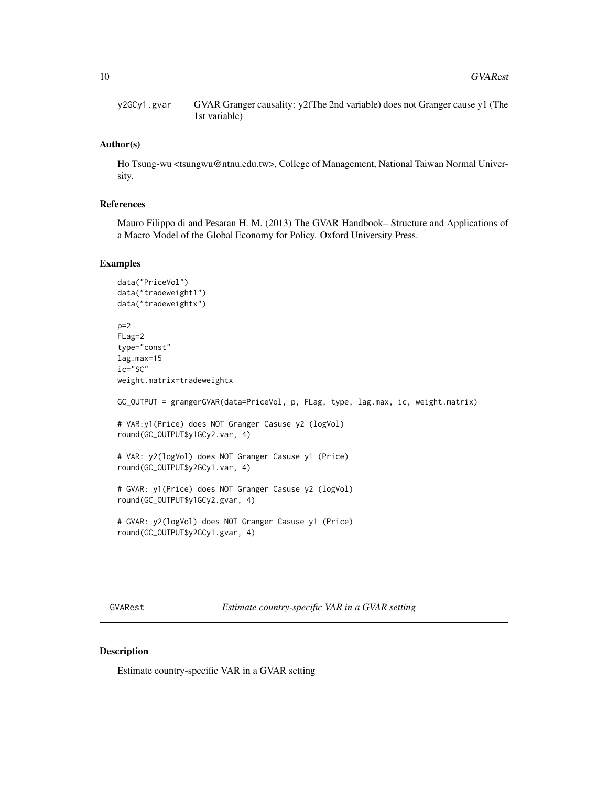<span id="page-9-0"></span>y2GCy1.gvar GVAR Granger causality: y2(The 2nd variable) does not Granger cause y1 (The 1st variable)

#### Author(s)

Ho Tsung-wu <tsungwu@ntnu.edu.tw>, College of Management, National Taiwan Normal University.

#### References

Mauro Filippo di and Pesaran H. M. (2013) The GVAR Handbook– Structure and Applications of a Macro Model of the Global Economy for Policy. Oxford University Press.

#### Examples

```
data("PriceVol")
data("tradeweight1")
data("tradeweightx")
p=2FLag=2
type="const"
lag.max=15
ic="SC"
weight.matrix=tradeweightx
GC_OUTPUT = grangerGVAR(data=PriceVol, p, FLag, type, lag.max, ic, weight.matrix)
# VAR:y1(Price) does NOT Granger Casuse y2 (logVol)
round(GC_OUTPUT$y1GCy2.var, 4)
# VAR: y2(logVol) does NOT Granger Casuse y1 (Price)
round(GC_OUTPUT$y2GCy1.var, 4)
# GVAR: y1(Price) does NOT Granger Casuse y2 (logVol)
round(GC_OUTPUT$y1GCy2.gvar, 4)
# GVAR: y2(logVol) does NOT Granger Casuse y1 (Price)
round(GC_OUTPUT$y2GCy1.gvar, 4)
```
GVARest *Estimate country-specific VAR in a GVAR setting*

# Description

Estimate country-specific VAR in a GVAR setting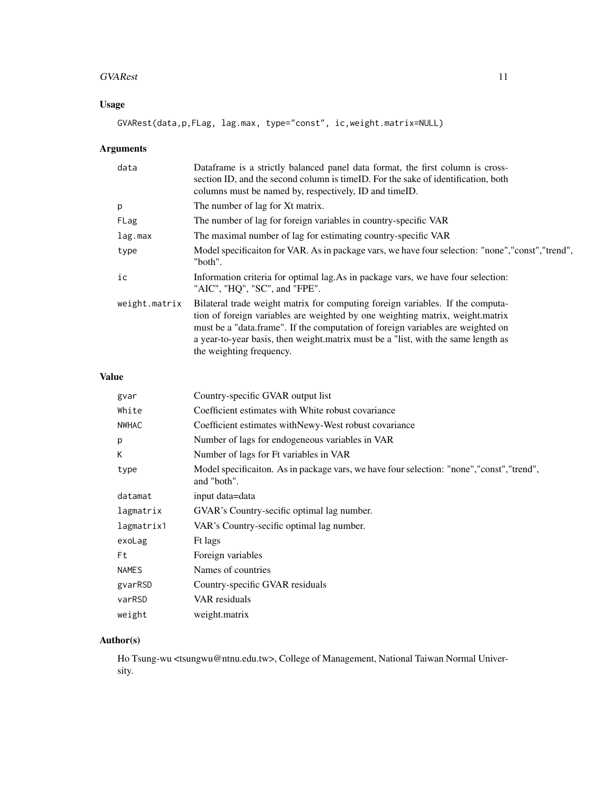#### GVARest 11

# Usage

GVARest(data,p,FLag, lag.max, type="const", ic,weight.matrix=NULL)

# Arguments

| data          | Dataframe is a strictly balanced panel data format, the first column is cross-<br>section ID, and the second column is time ID. For the sake of identification, both<br>columns must be named by, respectively, ID and timeID.                                                                                                                                      |
|---------------|---------------------------------------------------------------------------------------------------------------------------------------------------------------------------------------------------------------------------------------------------------------------------------------------------------------------------------------------------------------------|
| p             | The number of lag for Xt matrix.                                                                                                                                                                                                                                                                                                                                    |
| FLag          | The number of lag for foreign variables in country-specific VAR                                                                                                                                                                                                                                                                                                     |
| lag.max       | The maximal number of lag for estimating country-specific VAR                                                                                                                                                                                                                                                                                                       |
| type          | Model specification for VAR. As in package vars, we have four selection: "none","const","trend",<br>"both".                                                                                                                                                                                                                                                         |
| ic            | Information criteria for optimal lag. As in package vars, we have four selection:<br>"AIC", "HQ", "SC", and "FPE".                                                                                                                                                                                                                                                  |
| weight.matrix | Bilateral trade weight matrix for computing foreign variables. If the computa-<br>tion of foreign variables are weighted by one weighting matrix, weight.matrix<br>must be a "data.frame". If the computation of foreign variables are weighted on<br>a year-to-year basis, then weight matrix must be a "list, with the same length as<br>the weighting frequency. |

# Value

| gvar         | Country-specific GVAR output list                                                                         |
|--------------|-----------------------------------------------------------------------------------------------------------|
| White        | Coefficient estimates with White robust covariance                                                        |
| <b>NWHAC</b> | Coefficient estimates with Newy-West robust covariance                                                    |
| p            | Number of lags for endogeneous variables in VAR                                                           |
| К            | Number of lags for Ft variables in VAR                                                                    |
| type         | Model specificaiton. As in package vars, we have four selection: "none", "const", "trend",<br>and "both". |
| datamat      | input data=data                                                                                           |
| lagmatrix    | GVAR's Country-secific optimal lag number.                                                                |
| lagmatrix1   | VAR's Country-secific optimal lag number.                                                                 |
| exoLag       | Ft lags                                                                                                   |
| Ft           | Foreign variables                                                                                         |
| <b>NAMES</b> | Names of countries                                                                                        |
| gvarRSD      | Country-specific GVAR residuals                                                                           |
| varRSD       | VAR residuals                                                                                             |
| weight       | weight.matrix                                                                                             |
|              |                                                                                                           |

# Author(s)

Ho Tsung-wu <tsungwu@ntnu.edu.tw>, College of Management, National Taiwan Normal University.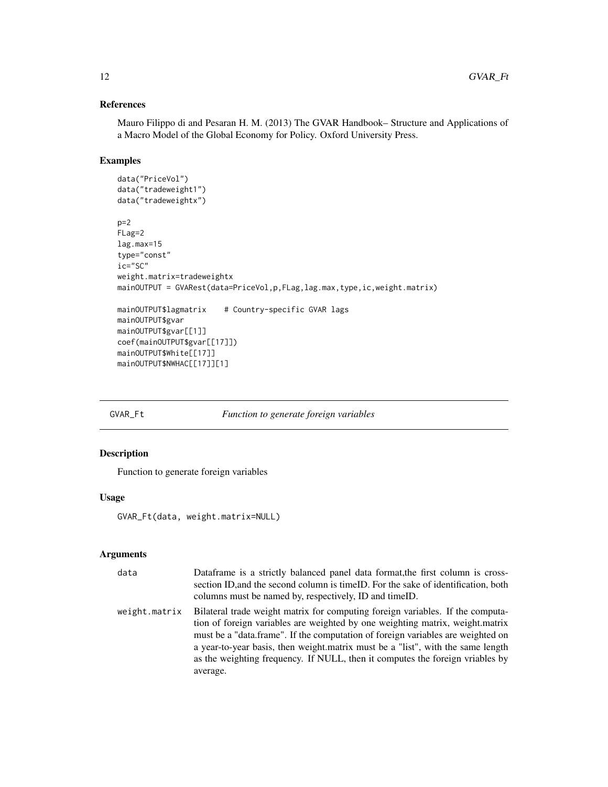# References

Mauro Filippo di and Pesaran H. M. (2013) The GVAR Handbook– Structure and Applications of a Macro Model of the Global Economy for Policy. Oxford University Press.

# Examples

```
data("PriceVol")
data("tradeweight1")
data("tradeweightx")
p=2FLag=2
lag.max=15
type="const"
ic="SC"
weight.matrix=tradeweightx
mainOUTPUT = GVARest(data=PriceVol,p,FLag,lag.max,type,ic,weight.matrix)
mainOUTPUT$lagmatrix # Country-specific GVAR lags
mainOUTPUT$gvar
mainOUTPUT$gvar[[1]]
coef(mainOUTPUT$gvar[[17]])
mainOUTPUT$White[[17]]
mainOUTPUT$NWHAC[[17]][1]
```
GVAR\_Ft *Function to generate foreign variables*

# Description

Function to generate foreign variables

#### Usage

GVAR\_Ft(data, weight.matrix=NULL)

#### Arguments

| data          | Dataframe is a strictly balanced panel data format, the first column is cross-<br>section ID, and the second column is time ID. For the sake of identification, both<br>columns must be named by, respectively, ID and time ID.                                                                                                                                                                                                    |
|---------------|------------------------------------------------------------------------------------------------------------------------------------------------------------------------------------------------------------------------------------------------------------------------------------------------------------------------------------------------------------------------------------------------------------------------------------|
| weight.matrix | Bilateral trade weight matrix for computing foreign variables. If the computa-<br>tion of foreign variables are weighted by one weighting matrix, weight.matrix<br>must be a "data.frame". If the computation of foreign variables are weighted on<br>a year-to-year basis, then weight matrix must be a "list", with the same length<br>as the weighting frequency. If NULL, then it computes the foreign vriables by<br>average. |

<span id="page-11-0"></span>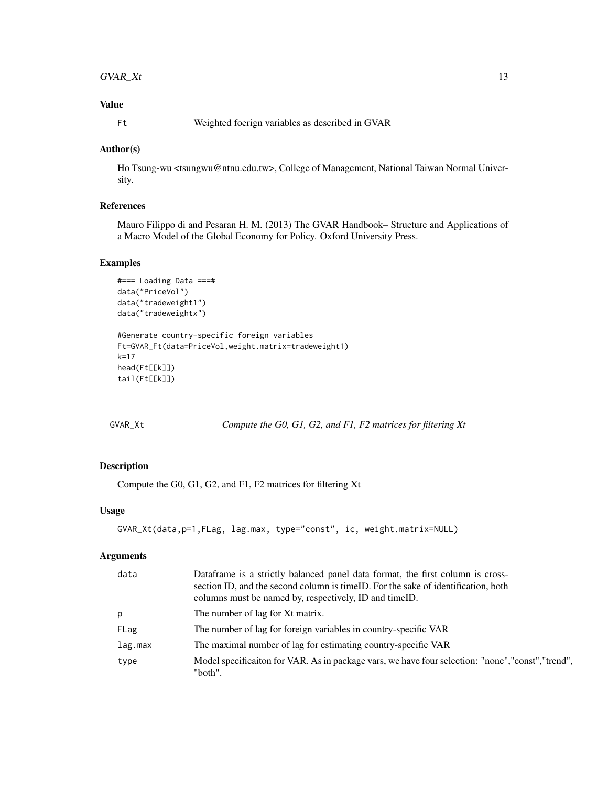#### <span id="page-12-0"></span> $GVAR\_Xt$  13

# Value

Ft Weighted foerign variables as described in GVAR

#### Author(s)

Ho Tsung-wu <tsungwu@ntnu.edu.tw>, College of Management, National Taiwan Normal University.

#### References

Mauro Filippo di and Pesaran H. M. (2013) The GVAR Handbook– Structure and Applications of a Macro Model of the Global Economy for Policy. Oxford University Press.

## Examples

```
#=== Loading Data ===#
data("PriceVol")
data("tradeweight1")
data("tradeweightx")
#Generate country-specific foreign variables
Ft=GVAR_Ft(data=PriceVol,weight.matrix=tradeweight1)
k=17
head(Ft[[k]])
tail(Ft[[k]])
```
GVAR\_Xt *Compute the G0, G1, G2, and F1, F2 matrices for filtering Xt*

# Description

Compute the G0, G1, G2, and F1, F2 matrices for filtering Xt

#### Usage

```
GVAR_Xt(data,p=1,FLag, lag.max, type="const", ic, weight.matrix=NULL)
```
#### Arguments

| data    | Dataframe is a strictly balanced panel data format, the first column is cross-<br>section ID, and the second column is time ID. For the sake of identification, both |
|---------|----------------------------------------------------------------------------------------------------------------------------------------------------------------------|
|         | columns must be named by, respectively, ID and timeID.                                                                                                               |
| p       | The number of lag for Xt matrix.                                                                                                                                     |
| FLag    | The number of lag for foreign variables in country-specific VAR                                                                                                      |
| lag.max | The maximal number of lag for estimating country-specific VAR                                                                                                        |
| type    | Model specification for VAR. As in package vars, we have four selection: "none","const","trend",<br>"both".                                                          |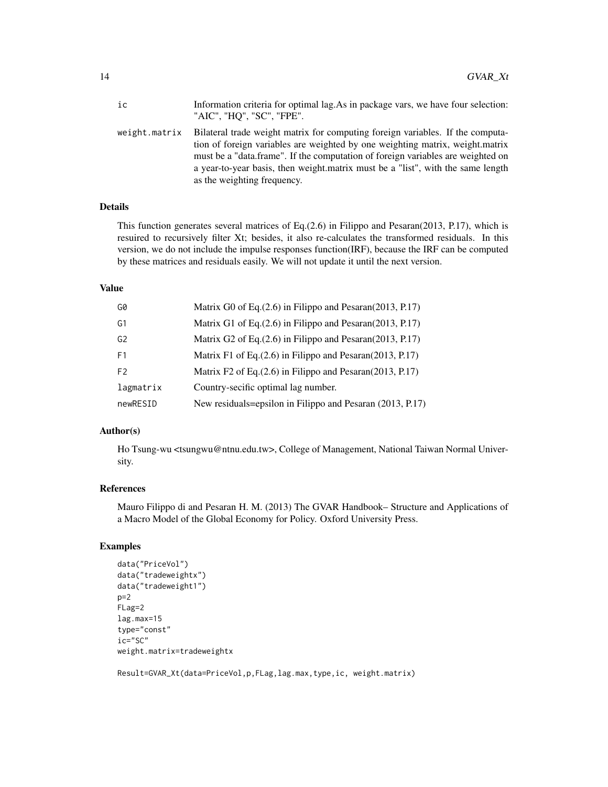| ic            | Information criteria for optimal lag. As in package vars, we have four selection:<br>"AIC", "HQ", "SC", "FPE".                                                                                                                                                                                                                                                        |
|---------------|-----------------------------------------------------------------------------------------------------------------------------------------------------------------------------------------------------------------------------------------------------------------------------------------------------------------------------------------------------------------------|
| weight.matrix | Bilateral trade weight matrix for computing foreign variables. If the computa-<br>tion of foreign variables are weighted by one weighting matrix, weight, matrix<br>must be a "data frame". If the computation of foreign variables are weighted on<br>a year-to-year basis, then weight matrix must be a "list", with the same length<br>as the weighting frequency. |

# Details

This function generates several matrices of Eq.(2.6) in Filippo and Pesaran(2013, P.17), which is resuired to recursively filter Xt; besides, it also re-calculates the transformed residuals. In this version, we do not include the impulse responses function(IRF), because the IRF can be computed by these matrices and residuals easily. We will not update it until the next version.

#### Value

| G0             | Matrix G0 of Eq. $(2.6)$ in Filippo and Pesaran $(2013, P.17)$ |
|----------------|----------------------------------------------------------------|
| G1             | Matrix G1 of Eq. (2.6) in Filippo and Pesaran (2013, P.17)     |
| G2             | Matrix G2 of Eq. (2.6) in Filippo and Pesaran (2013, P.17)     |
| F <sub>1</sub> | Matrix F1 of Eq. $(2.6)$ in Filippo and Pesaran $(2013, P.17)$ |
| F <sub>2</sub> | Matrix F2 of Eq. $(2.6)$ in Filippo and Pesaran $(2013, P.17)$ |
| lagmatrix      | Country-secific optimal lag number.                            |
| newRESID       | New residuals=epsilon in Filippo and Pesaran (2013, P.17)      |

#### Author(s)

Ho Tsung-wu <tsungwu@ntnu.edu.tw>, College of Management, National Taiwan Normal University.

#### References

Mauro Filippo di and Pesaran H. M. (2013) The GVAR Handbook– Structure and Applications of a Macro Model of the Global Economy for Policy. Oxford University Press.

# Examples

```
data("PriceVol")
data("tradeweightx")
data("tradeweight1")
p=2FLag=2
lag.max=15
type="const"
ic="SC"
weight.matrix=tradeweightx
```
Result=GVAR\_Xt(data=PriceVol,p,FLag,lag.max,type,ic, weight.matrix)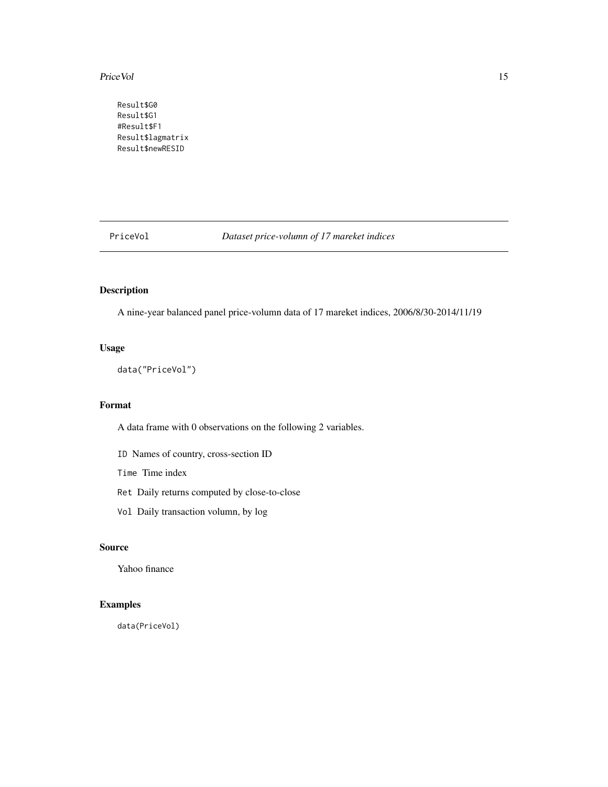#### <span id="page-14-0"></span>PriceVol 15

Result\$G0 Result\$G1 #Result\$F1 Result\$lagmatrix Result\$newRESID

PriceVol *Dataset price-volumn of 17 mareket indices*

# Description

A nine-year balanced panel price-volumn data of 17 mareket indices, 2006/8/30-2014/11/19

### Usage

data("PriceVol")

# Format

A data frame with 0 observations on the following 2 variables.

ID Names of country, cross-section ID

Time Time index

Ret Daily returns computed by close-to-close

Vol Daily transaction volumn, by log

# Source

Yahoo finance

# Examples

data(PriceVol)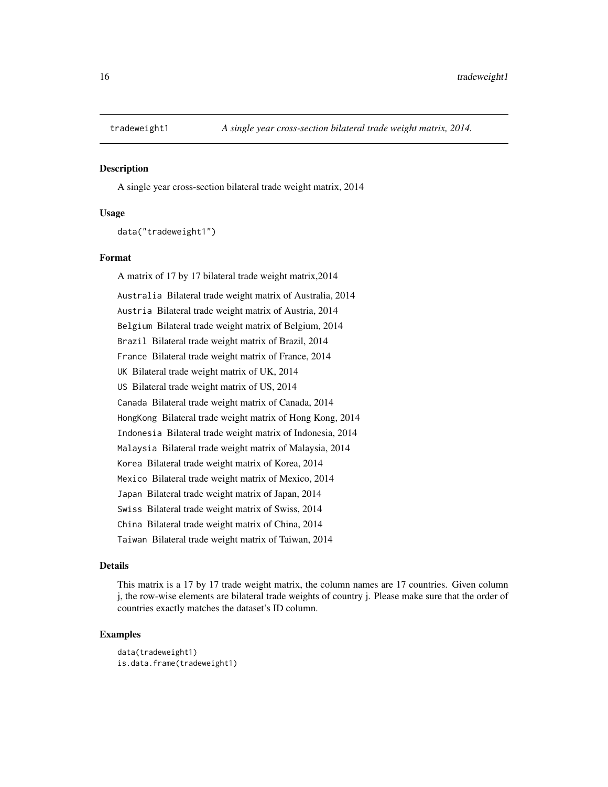<span id="page-15-0"></span>

#### Description

A single year cross-section bilateral trade weight matrix, 2014

#### Usage

data("tradeweight1")

# Format

A matrix of 17 by 17 bilateral trade weight matrix,2014 Australia Bilateral trade weight matrix of Australia, 2014 Austria Bilateral trade weight matrix of Austria, 2014 Belgium Bilateral trade weight matrix of Belgium, 2014 Brazil Bilateral trade weight matrix of Brazil, 2014 France Bilateral trade weight matrix of France, 2014 UK Bilateral trade weight matrix of UK, 2014 US Bilateral trade weight matrix of US, 2014 Canada Bilateral trade weight matrix of Canada, 2014 HongKong Bilateral trade weight matrix of Hong Kong, 2014 Indonesia Bilateral trade weight matrix of Indonesia, 2014 Malaysia Bilateral trade weight matrix of Malaysia, 2014 Korea Bilateral trade weight matrix of Korea, 2014 Mexico Bilateral trade weight matrix of Mexico, 2014 Japan Bilateral trade weight matrix of Japan, 2014 Swiss Bilateral trade weight matrix of Swiss, 2014 China Bilateral trade weight matrix of China, 2014 Taiwan Bilateral trade weight matrix of Taiwan, 2014

#### Details

This matrix is a 17 by 17 trade weight matrix, the column names are 17 countries. Given column j, the row-wise elements are bilateral trade weights of country j. Please make sure that the order of countries exactly matches the dataset's ID column.

```
data(tradeweight1)
is.data.frame(tradeweight1)
```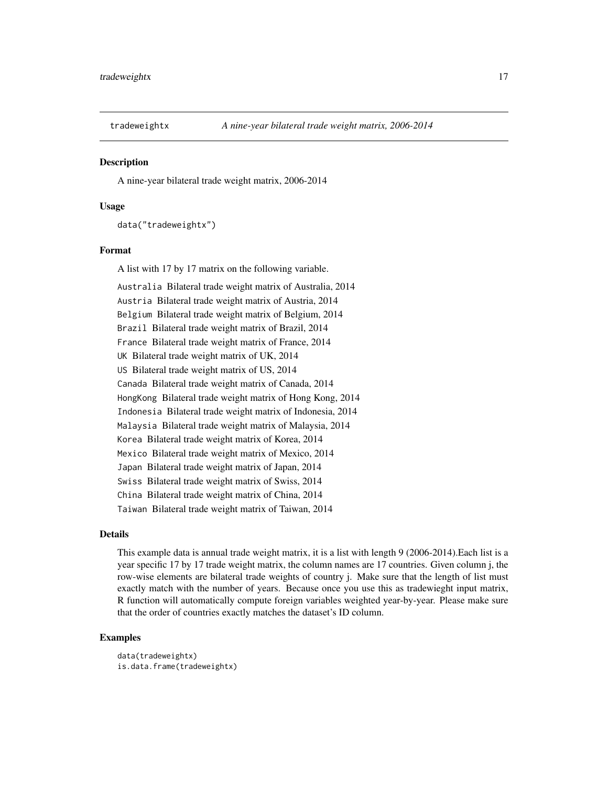<span id="page-16-0"></span>

#### **Description**

A nine-year bilateral trade weight matrix, 2006-2014

#### Usage

data("tradeweightx")

#### Format

A list with 17 by 17 matrix on the following variable.

Australia Bilateral trade weight matrix of Australia, 2014 Austria Bilateral trade weight matrix of Austria, 2014 Belgium Bilateral trade weight matrix of Belgium, 2014 Brazil Bilateral trade weight matrix of Brazil, 2014 France Bilateral trade weight matrix of France, 2014 UK Bilateral trade weight matrix of UK, 2014 US Bilateral trade weight matrix of US, 2014 Canada Bilateral trade weight matrix of Canada, 2014 HongKong Bilateral trade weight matrix of Hong Kong, 2014 Indonesia Bilateral trade weight matrix of Indonesia, 2014 Malaysia Bilateral trade weight matrix of Malaysia, 2014 Korea Bilateral trade weight matrix of Korea, 2014 Mexico Bilateral trade weight matrix of Mexico, 2014 Japan Bilateral trade weight matrix of Japan, 2014 Swiss Bilateral trade weight matrix of Swiss, 2014 China Bilateral trade weight matrix of China, 2014 Taiwan Bilateral trade weight matrix of Taiwan, 2014

#### Details

This example data is annual trade weight matrix, it is a list with length 9 (2006-2014).Each list is a year specific 17 by 17 trade weight matrix, the column names are 17 countries. Given column j, the row-wise elements are bilateral trade weights of country j. Make sure that the length of list must exactly match with the number of years. Because once you use this as tradewieght input matrix, R function will automatically compute foreign variables weighted year-by-year. Please make sure that the order of countries exactly matches the dataset's ID column.

```
data(tradeweightx)
is.data.frame(tradeweightx)
```